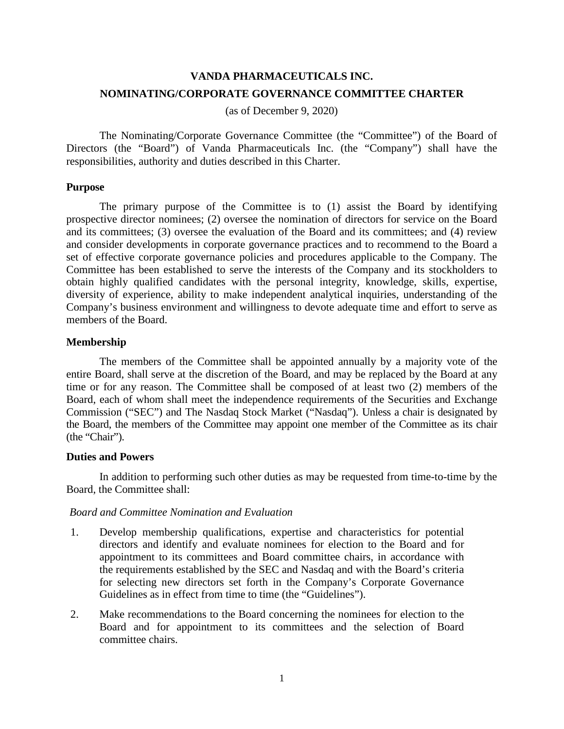# **VANDA PHARMACEUTICALS INC. NOMINATING/CORPORATE GOVERNANCE COMMITTEE CHARTER**

(as of December 9, 2020)

The Nominating/Corporate Governance Committee (the "Committee") of the Board of Directors (the "Board") of Vanda Pharmaceuticals Inc. (the "Company") shall have the responsibilities, authority and duties described in this Charter.

## **Purpose**

The primary purpose of the Committee is to (1) assist the Board by identifying prospective director nominees; (2) oversee the nomination of directors for service on the Board and its committees; (3) oversee the evaluation of the Board and its committees; and (4) review and consider developments in corporate governance practices and to recommend to the Board a set of effective corporate governance policies and procedures applicable to the Company. The Committee has been established to serve the interests of the Company and its stockholders to obtain highly qualified candidates with the personal integrity, knowledge, skills, expertise, diversity of experience, ability to make independent analytical inquiries, understanding of the Company's business environment and willingness to devote adequate time and effort to serve as members of the Board.

## **Membership**

The members of the Committee shall be appointed annually by a majority vote of the entire Board, shall serve at the discretion of the Board, and may be replaced by the Board at any time or for any reason. The Committee shall be composed of at least two (2) members of the Board, each of whom shall meet the independence requirements of the Securities and Exchange Commission ("SEC") and The Nasdaq Stock Market ("Nasdaq"). Unless a chair is designated by the Board, the members of the Committee may appoint one member of the Committee as its chair (the "Chair").

## **Duties and Powers**

In addition to performing such other duties as may be requested from time-to-time by the Board, the Committee shall:

## *Board and Committee Nomination and Evaluation*

- 1. Develop membership qualifications, expertise and characteristics for potential directors and identify and evaluate nominees for election to the Board and for appointment to its committees and Board committee chairs, in accordance with the requirements established by the SEC and Nasdaq and with the Board's criteria for selecting new directors set forth in the Company's Corporate Governance Guidelines as in effect from time to time (the "Guidelines").
- 2. Make recommendations to the Board concerning the nominees for election to the Board and for appointment to its committees and the selection of Board committee chairs.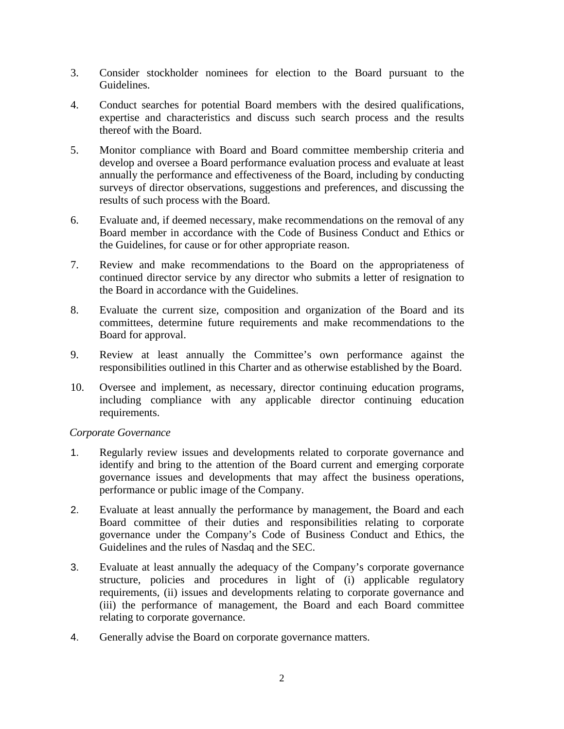- 3. Consider stockholder nominees for election to the Board pursuant to the Guidelines.
- 4. Conduct searches for potential Board members with the desired qualifications, expertise and characteristics and discuss such search process and the results thereof with the Board.
- 5. Monitor compliance with Board and Board committee membership criteria and develop and oversee a Board performance evaluation process and evaluate at least annually the performance and effectiveness of the Board, including by conducting surveys of director observations, suggestions and preferences, and discussing the results of such process with the Board.
- 6. Evaluate and, if deemed necessary, make recommendations on the removal of any Board member in accordance with the Code of Business Conduct and Ethics or the Guidelines, for cause or for other appropriate reason.
- 7. Review and make recommendations to the Board on the appropriateness of continued director service by any director who submits a letter of resignation to the Board in accordance with the Guidelines.
- 8. Evaluate the current size, composition and organization of the Board and its committees, determine future requirements and make recommendations to the Board for approval.
- 9. Review at least annually the Committee's own performance against the responsibilities outlined in this Charter and as otherwise established by the Board.
- 10. Oversee and implement, as necessary, director continuing education programs, including compliance with any applicable director continuing education requirements.

## *Corporate Governance*

- 1. Regularly review issues and developments related to corporate governance and identify and bring to the attention of the Board current and emerging corporate governance issues and developments that may affect the business operations, performance or public image of the Company.
- 2. Evaluate at least annually the performance by management, the Board and each Board committee of their duties and responsibilities relating to corporate governance under the Company's Code of Business Conduct and Ethics, the Guidelines and the rules of Nasdaq and the SEC.
- 3. Evaluate at least annually the adequacy of the Company's corporate governance structure, policies and procedures in light of (i) applicable regulatory requirements, (ii) issues and developments relating to corporate governance and (iii) the performance of management, the Board and each Board committee relating to corporate governance.
- 4. Generally advise the Board on corporate governance matters.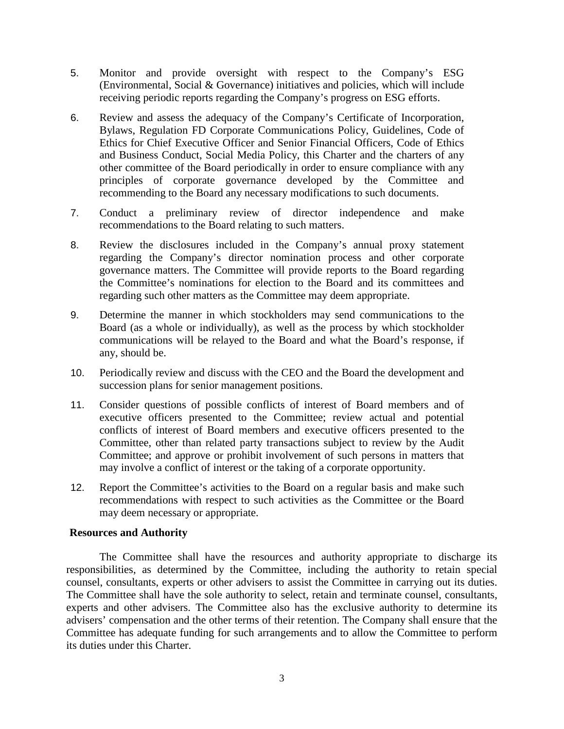- 5. Monitor and provide oversight with respect to the Company's ESG (Environmental, Social & Governance) initiatives and policies, which will include receiving periodic reports regarding the Company's progress on ESG efforts.
- 6. Review and assess the adequacy of the Company's Certificate of Incorporation, Bylaws, Regulation FD Corporate Communications Policy, Guidelines, Code of Ethics for Chief Executive Officer and Senior Financial Officers, Code of Ethics and Business Conduct, Social Media Policy, this Charter and the charters of any other committee of the Board periodically in order to ensure compliance with any principles of corporate governance developed by the Committee and recommending to the Board any necessary modifications to such documents.
- 7. Conduct a preliminary review of director independence and make recommendations to the Board relating to such matters.
- 8. Review the disclosures included in the Company's annual proxy statement regarding the Company's director nomination process and other corporate governance matters. The Committee will provide reports to the Board regarding the Committee's nominations for election to the Board and its committees and regarding such other matters as the Committee may deem appropriate.
- 9. Determine the manner in which stockholders may send communications to the Board (as a whole or individually), as well as the process by which stockholder communications will be relayed to the Board and what the Board's response, if any, should be.
- 10. Periodically review and discuss with the CEO and the Board the development and succession plans for senior management positions.
- 11. Consider questions of possible conflicts of interest of Board members and of executive officers presented to the Committee; review actual and potential conflicts of interest of Board members and executive officers presented to the Committee, other than related party transactions subject to review by the Audit Committee; and approve or prohibit involvement of such persons in matters that may involve a conflict of interest or the taking of a corporate opportunity.
- 12. Report the Committee's activities to the Board on a regular basis and make such recommendations with respect to such activities as the Committee or the Board may deem necessary or appropriate.

## **Resources and Authority**

The Committee shall have the resources and authority appropriate to discharge its responsibilities, as determined by the Committee, including the authority to retain special counsel, consultants, experts or other advisers to assist the Committee in carrying out its duties. The Committee shall have the sole authority to select, retain and terminate counsel, consultants, experts and other advisers. The Committee also has the exclusive authority to determine its advisers' compensation and the other terms of their retention. The Company shall ensure that the Committee has adequate funding for such arrangements and to allow the Committee to perform its duties under this Charter.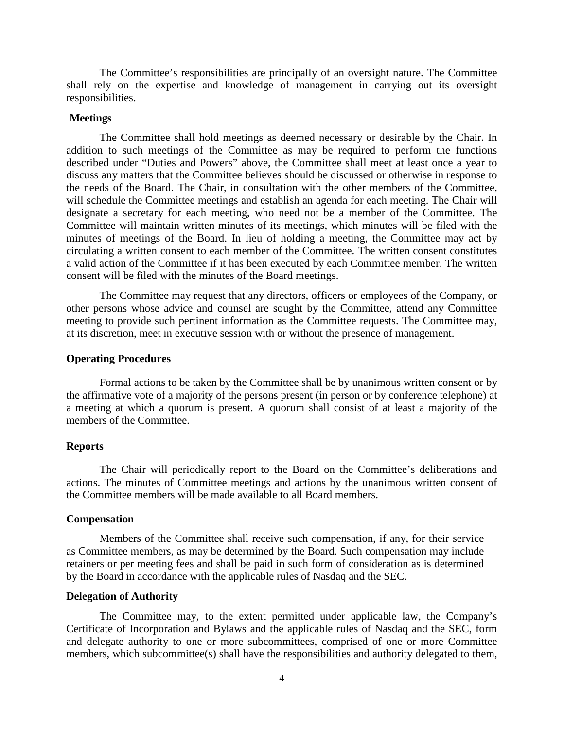The Committee's responsibilities are principally of an oversight nature. The Committee shall rely on the expertise and knowledge of management in carrying out its oversight responsibilities.

#### **Meetings**

The Committee shall hold meetings as deemed necessary or desirable by the Chair. In addition to such meetings of the Committee as may be required to perform the functions described under "Duties and Powers" above, the Committee shall meet at least once a year to discuss any matters that the Committee believes should be discussed or otherwise in response to the needs of the Board. The Chair, in consultation with the other members of the Committee, will schedule the Committee meetings and establish an agenda for each meeting. The Chair will designate a secretary for each meeting, who need not be a member of the Committee. The Committee will maintain written minutes of its meetings, which minutes will be filed with the minutes of meetings of the Board. In lieu of holding a meeting, the Committee may act by circulating a written consent to each member of the Committee. The written consent constitutes a valid action of the Committee if it has been executed by each Committee member. The written consent will be filed with the minutes of the Board meetings.

The Committee may request that any directors, officers or employees of the Company, or other persons whose advice and counsel are sought by the Committee, attend any Committee meeting to provide such pertinent information as the Committee requests. The Committee may, at its discretion, meet in executive session with or without the presence of management.

#### **Operating Procedures**

Formal actions to be taken by the Committee shall be by unanimous written consent or by the affirmative vote of a majority of the persons present (in person or by conference telephone) at a meeting at which a quorum is present. A quorum shall consist of at least a majority of the members of the Committee.

### **Reports**

The Chair will periodically report to the Board on the Committee's deliberations and actions. The minutes of Committee meetings and actions by the unanimous written consent of the Committee members will be made available to all Board members.

#### **Compensation**

Members of the Committee shall receive such compensation, if any, for their service as Committee members, as may be determined by the Board. Such compensation may include retainers or per meeting fees and shall be paid in such form of consideration as is determined by the Board in accordance with the applicable rules of Nasdaq and the SEC.

#### **Delegation of Authority**

The Committee may, to the extent permitted under applicable law, the Company's Certificate of Incorporation and Bylaws and the applicable rules of Nasdaq and the SEC, form and delegate authority to one or more subcommittees, comprised of one or more Committee members, which subcommittee(s) shall have the responsibilities and authority delegated to them,